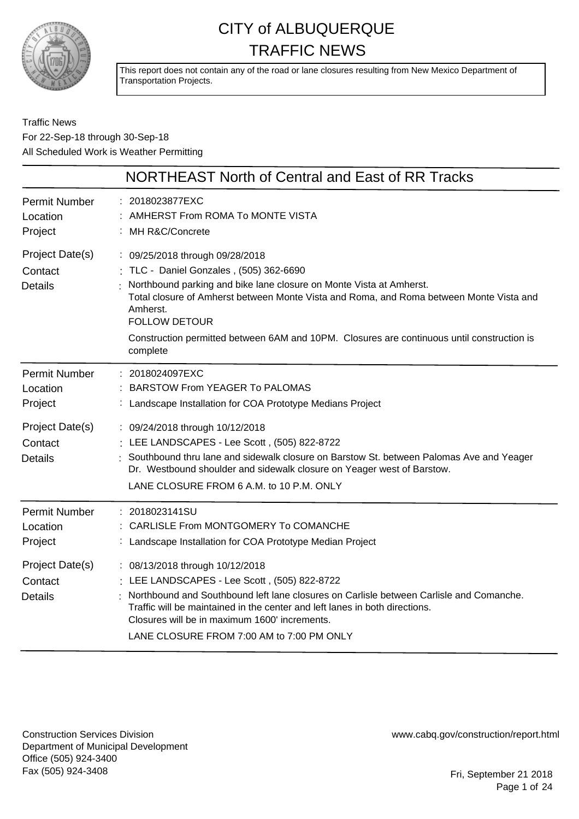

This report does not contain any of the road or lane closures resulting from New Mexico Department of Transportation Projects.

Traffic News For 22-Sep-18 through 30-Sep-18 All Scheduled Work is Weather Permitting

|                                              | NORTHEAST North of Central and East of RR Tracks                                                                                                                                                                                                                                                                                                                                            |
|----------------------------------------------|---------------------------------------------------------------------------------------------------------------------------------------------------------------------------------------------------------------------------------------------------------------------------------------------------------------------------------------------------------------------------------------------|
| <b>Permit Number</b><br>Location<br>Project  | : 2018023877EXC<br>AMHERST From ROMA To MONTE VISTA<br>: MH R&C/Concrete                                                                                                                                                                                                                                                                                                                    |
| Project Date(s)<br>Contact<br><b>Details</b> | : 09/25/2018 through 09/28/2018<br>: TLC - Daniel Gonzales , (505) 362-6690<br>Northbound parking and bike lane closure on Monte Vista at Amherst.<br>Total closure of Amherst between Monte Vista and Roma, and Roma between Monte Vista and<br>Amherst.<br><b>FOLLOW DETOUR</b><br>Construction permitted between 6AM and 10PM. Closures are continuous until construction is<br>complete |
| <b>Permit Number</b><br>Location<br>Project  | 2018024097EXC<br><b>BARSTOW From YEAGER To PALOMAS</b><br>Landscape Installation for COA Prototype Medians Project                                                                                                                                                                                                                                                                          |
| Project Date(s)<br>Contact<br><b>Details</b> | : 09/24/2018 through 10/12/2018<br>: LEE LANDSCAPES - Lee Scott, (505) 822-8722<br>: Southbound thru lane and sidewalk closure on Barstow St. between Palomas Ave and Yeager<br>Dr. Westbound shoulder and sidewalk closure on Yeager west of Barstow.<br>LANE CLOSURE FROM 6 A.M. to 10 P.M. ONLY                                                                                          |
| <b>Permit Number</b><br>Location<br>Project  | : 2018023141SU<br>CARLISLE From MONTGOMERY To COMANCHE<br>Landscape Installation for COA Prototype Median Project                                                                                                                                                                                                                                                                           |
| Project Date(s)<br>Contact<br><b>Details</b> | : 08/13/2018 through 10/12/2018<br>: LEE LANDSCAPES - Lee Scott, (505) 822-8722<br>Northbound and Southbound left lane closures on Carlisle between Carlisle and Comanche.<br>Traffic will be maintained in the center and left lanes in both directions.<br>Closures will be in maximum 1600' increments.<br>LANE CLOSURE FROM 7:00 AM to 7:00 PM ONLY                                     |

Construction Services Division Department of Municipal Development Office (505) 924-3400 Fax (505) 924-3408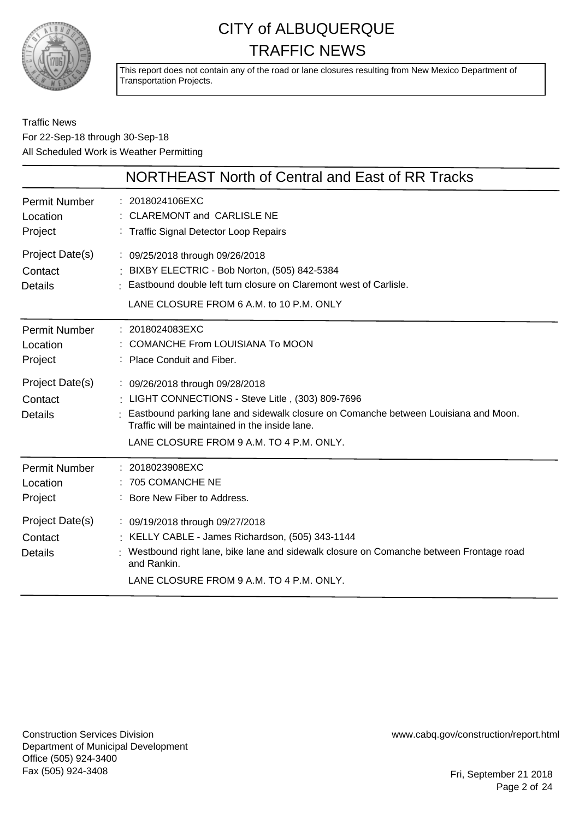

This report does not contain any of the road or lane closures resulting from New Mexico Department of Transportation Projects.

#### Traffic News For 22-Sep-18 through 30-Sep-18 All Scheduled Work is Weather Permitting

|                                              | NORTHEAST North of Central and East of RR Tracks                                                                                                                                                                                                                            |
|----------------------------------------------|-----------------------------------------------------------------------------------------------------------------------------------------------------------------------------------------------------------------------------------------------------------------------------|
| <b>Permit Number</b><br>Location<br>Project  | : 2018024106EXC<br>: CLAREMONT and CARLISLE NE<br>: Traffic Signal Detector Loop Repairs                                                                                                                                                                                    |
| Project Date(s)<br>Contact<br><b>Details</b> | : 09/25/2018 through 09/26/2018<br>: BIXBY ELECTRIC - Bob Norton, (505) 842-5384<br>: Eastbound double left turn closure on Claremont west of Carlisle.<br>LANE CLOSURE FROM 6 A.M. to 10 P.M. ONLY                                                                         |
| <b>Permit Number</b><br>Location<br>Project  | : 2018024083EXC<br>: COMANCHE From LOUISIANA To MOON<br>: Place Conduit and Fiber.                                                                                                                                                                                          |
| Project Date(s)<br>Contact<br><b>Details</b> | : 09/26/2018 through 09/28/2018<br>: LIGHT CONNECTIONS - Steve Litle, (303) 809-7696<br>: Eastbound parking lane and sidewalk closure on Comanche between Louisiana and Moon.<br>Traffic will be maintained in the inside lane.<br>LANE CLOSURE FROM 9 A.M. TO 4 P.M. ONLY. |
| <b>Permit Number</b><br>Location<br>Project  | : 2018023908EXC<br>: 705 COMANCHE NE<br>: Bore New Fiber to Address.                                                                                                                                                                                                        |
| Project Date(s)<br>Contact<br><b>Details</b> | : 09/19/2018 through 09/27/2018<br>: KELLY CABLE - James Richardson, (505) 343-1144<br>Westbound right lane, bike lane and sidewalk closure on Comanche between Frontage road<br>and Rankin.<br>LANE CLOSURE FROM 9 A.M. TO 4 P.M. ONLY.                                    |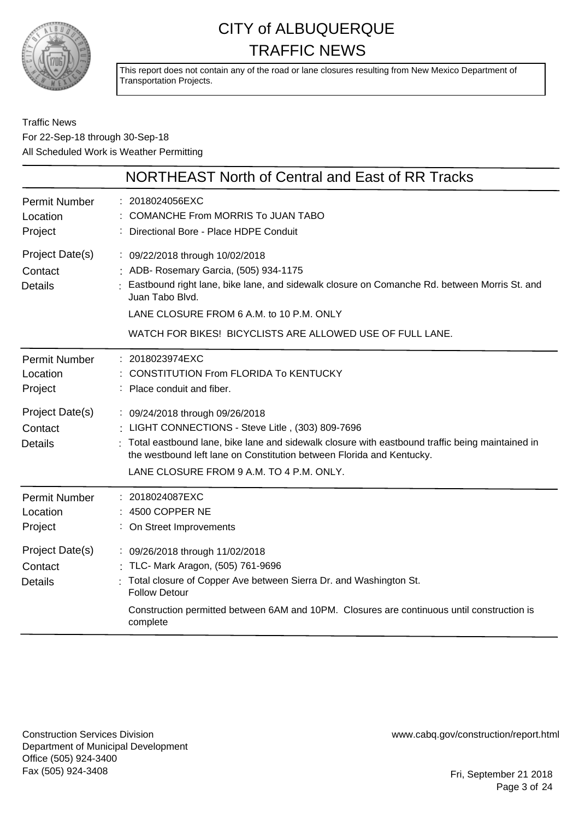

This report does not contain any of the road or lane closures resulting from New Mexico Department of Transportation Projects.

#### Traffic News For 22-Sep-18 through 30-Sep-18 All Scheduled Work is Weather Permitting

|                                              | NORTHEAST North of Central and East of RR Tracks                                                                                                                                                                                                                                                             |
|----------------------------------------------|--------------------------------------------------------------------------------------------------------------------------------------------------------------------------------------------------------------------------------------------------------------------------------------------------------------|
| <b>Permit Number</b><br>Location<br>Project  | 2018024056EXC<br>COMANCHE From MORRIS To JUAN TABO<br>Directional Bore - Place HDPE Conduit                                                                                                                                                                                                                  |
| Project Date(s)<br>Contact<br><b>Details</b> | : 09/22/2018 through 10/02/2018<br>: ADB- Rosemary Garcia, (505) 934-1175<br>Eastbound right lane, bike lane, and sidewalk closure on Comanche Rd. between Morris St. and<br>Juan Tabo Blvd.<br>LANE CLOSURE FROM 6 A.M. to 10 P.M. ONLY                                                                     |
|                                              | WATCH FOR BIKES! BICYCLISTS ARE ALLOWED USE OF FULL LANE.                                                                                                                                                                                                                                                    |
| <b>Permit Number</b><br>Location<br>Project  | : 2018023974EXC<br><b>CONSTITUTION From FLORIDA To KENTUCKY</b><br>Place conduit and fiber.                                                                                                                                                                                                                  |
| Project Date(s)<br>Contact<br><b>Details</b> | : 09/24/2018 through 09/26/2018<br>: LIGHT CONNECTIONS - Steve Litle, (303) 809-7696<br>Total eastbound lane, bike lane and sidewalk closure with eastbound traffic being maintained in<br>the westbound left lane on Constitution between Florida and Kentucky.<br>LANE CLOSURE FROM 9 A.M. TO 4 P.M. ONLY. |
| <b>Permit Number</b><br>Location<br>Project  | : 2018024087EXC<br>4500 COPPER NE<br>: On Street Improvements                                                                                                                                                                                                                                                |
| Project Date(s)<br>Contact<br><b>Details</b> | : 09/26/2018 through 11/02/2018<br>: TLC- Mark Aragon, (505) 761-9696<br>Total closure of Copper Ave between Sierra Dr. and Washington St.<br><b>Follow Detour</b><br>Construction permitted between 6AM and 10PM. Closures are continuous until construction is<br>complete                                 |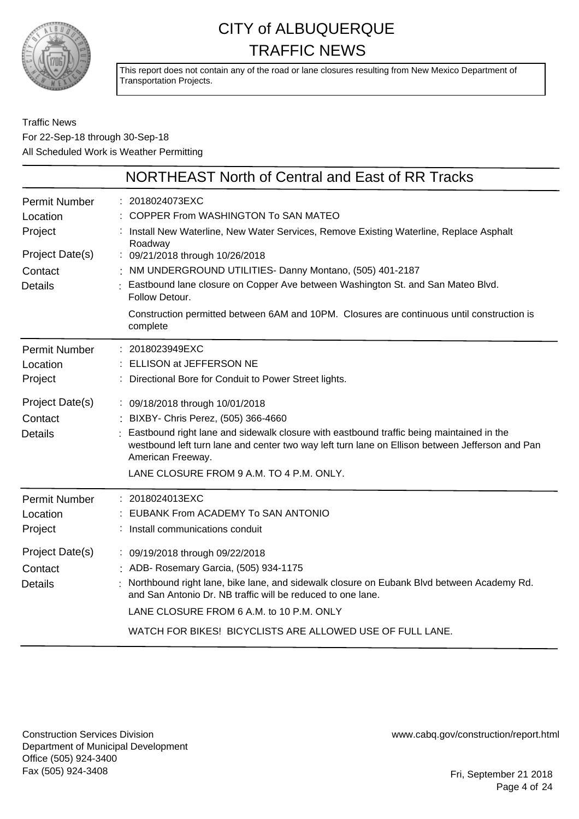

This report does not contain any of the road or lane closures resulting from New Mexico Department of Transportation Projects.

Traffic News For 22-Sep-18 through 30-Sep-18 All Scheduled Work is Weather Permitting

|                                                                                             | NORTHEAST North of Central and East of RR Tracks                                                                                                                                                                                                                                                                                                                                                                                                                              |
|---------------------------------------------------------------------------------------------|-------------------------------------------------------------------------------------------------------------------------------------------------------------------------------------------------------------------------------------------------------------------------------------------------------------------------------------------------------------------------------------------------------------------------------------------------------------------------------|
| <b>Permit Number</b><br>Location<br>Project<br>Project Date(s)<br>Contact<br><b>Details</b> | : 2018024073EXC<br>COPPER From WASHINGTON To SAN MATEO<br>: Install New Waterline, New Water Services, Remove Existing Waterline, Replace Asphalt<br>Roadway<br>: 09/21/2018 through 10/26/2018<br>: NM UNDERGROUND UTILITIES- Danny Montano, (505) 401-2187<br>: Eastbound lane closure on Copper Ave between Washington St. and San Mateo Blvd.<br>Follow Detour.<br>Construction permitted between 6AM and 10PM. Closures are continuous until construction is<br>complete |
| <b>Permit Number</b><br>Location<br>Project<br>Project Date(s)                              | : 2018023949EXC<br>ELLISON at JEFFERSON NE<br>Directional Bore for Conduit to Power Street lights.<br>: 09/18/2018 through 10/01/2018                                                                                                                                                                                                                                                                                                                                         |
| Contact<br><b>Details</b>                                                                   | : BIXBY- Chris Perez, (505) 366-4660<br>Eastbound right lane and sidewalk closure with eastbound traffic being maintained in the<br>westbound left turn lane and center two way left turn lane on Ellison between Jefferson and Pan<br>American Freeway.<br>LANE CLOSURE FROM 9 A.M. TO 4 P.M. ONLY.                                                                                                                                                                          |
| <b>Permit Number</b><br>Location<br>Project                                                 | : 2018024013EXC<br>EUBANK From ACADEMY To SAN ANTONIO<br>: Install communications conduit                                                                                                                                                                                                                                                                                                                                                                                     |
| Project Date(s)<br>Contact<br><b>Details</b>                                                | : 09/19/2018 through 09/22/2018<br>: ADB- Rosemary Garcia, (505) 934-1175<br>Northbound right lane, bike lane, and sidewalk closure on Eubank Blvd between Academy Rd.<br>and San Antonio Dr. NB traffic will be reduced to one lane.<br>LANE CLOSURE FROM 6 A.M. to 10 P.M. ONLY<br>WATCH FOR BIKES! BICYCLISTS ARE ALLOWED USE OF FULL LANE.                                                                                                                                |

Construction Services Division Department of Municipal Development Office (505) 924-3400 Fax (505) 924-3408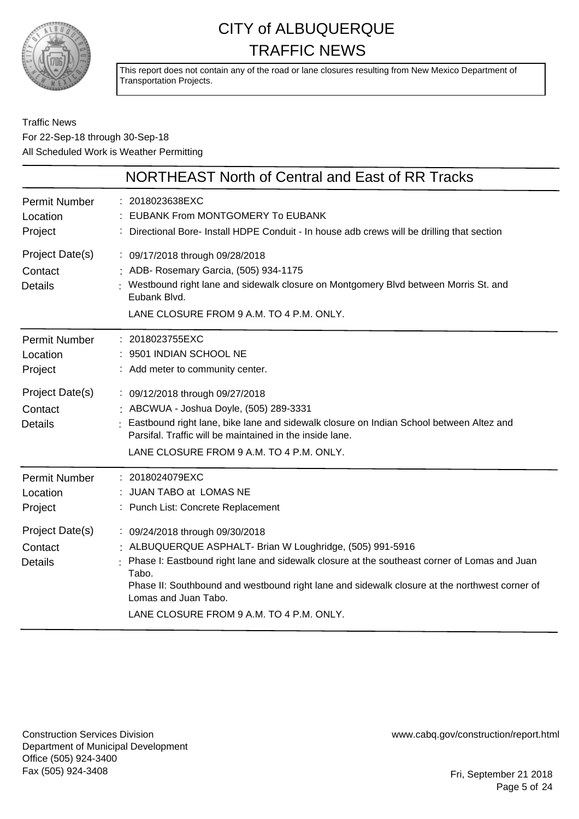

This report does not contain any of the road or lane closures resulting from New Mexico Department of Transportation Projects.

#### Traffic News For 22-Sep-18 through 30-Sep-18 All Scheduled Work is Weather Permitting

|                                                                                             | NORTHEAST North of Central and East of RR Tracks                                                                                                                                                                                                                                                                                                                           |
|---------------------------------------------------------------------------------------------|----------------------------------------------------------------------------------------------------------------------------------------------------------------------------------------------------------------------------------------------------------------------------------------------------------------------------------------------------------------------------|
| <b>Permit Number</b><br>Location<br>Project                                                 | : 2018023638EXC<br><b>EUBANK From MONTGOMERY To EUBANK</b><br>Directional Bore- Install HDPE Conduit - In house adb crews will be drilling that section                                                                                                                                                                                                                    |
| Project Date(s)<br>Contact<br><b>Details</b>                                                | : 09/17/2018 through 09/28/2018<br>: ADB- Rosemary Garcia, (505) 934-1175<br>Westbound right lane and sidewalk closure on Montgomery Blvd between Morris St. and<br>Eubank Blvd.<br>LANE CLOSURE FROM 9 A.M. TO 4 P.M. ONLY.                                                                                                                                               |
| <b>Permit Number</b><br>Location<br>Project<br>Project Date(s)<br>Contact<br><b>Details</b> | : 2018023755EXC<br>: 9501 INDIAN SCHOOL NE<br>: Add meter to community center.<br>: 09/12/2018 through 09/27/2018<br>: ABCWUA - Joshua Doyle, (505) 289-3331<br>Eastbound right lane, bike lane and sidewalk closure on Indian School between Altez and<br>Parsifal. Traffic will be maintained in the inside lane.<br>LANE CLOSURE FROM 9 A.M. TO 4 P.M. ONLY.            |
| <b>Permit Number</b><br>Location<br>Project                                                 | : 2018024079EXC<br>: JUAN TABO at LOMAS NE<br>: Punch List: Concrete Replacement                                                                                                                                                                                                                                                                                           |
| Project Date(s)<br>Contact<br><b>Details</b>                                                | : 09/24/2018 through 09/30/2018<br>: ALBUQUERQUE ASPHALT- Brian W Loughridge, (505) 991-5916<br>Phase I: Eastbound right lane and sidewalk closure at the southeast corner of Lomas and Juan<br>Tabo.<br>Phase II: Southbound and westbound right lane and sidewalk closure at the northwest corner of<br>Lomas and Juan Tabo.<br>LANE CLOSURE FROM 9 A.M. TO 4 P.M. ONLY. |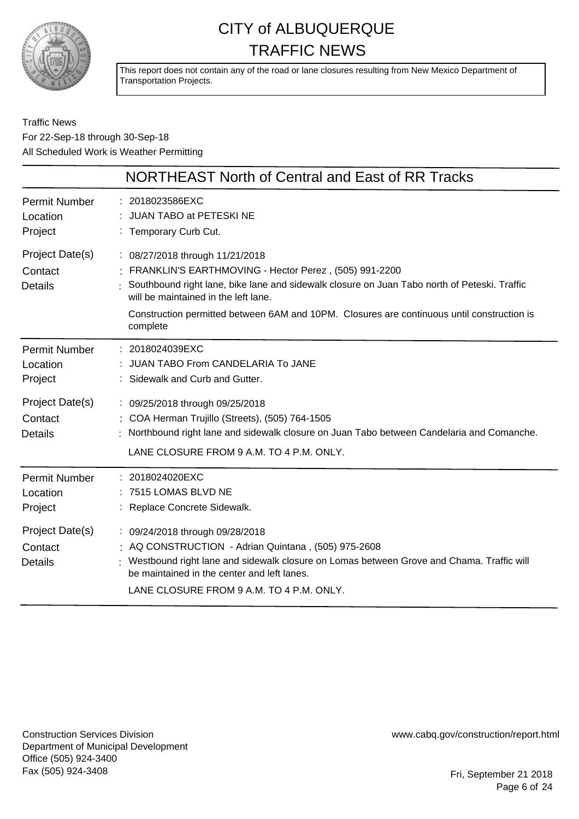

This report does not contain any of the road or lane closures resulting from New Mexico Department of Transportation Projects.

Traffic News For 22-Sep-18 through 30-Sep-18 All Scheduled Work is Weather Permitting

|                                              | NORTHEAST North of Central and East of RR Tracks                                                                                                                                                                                                                                                                                             |
|----------------------------------------------|----------------------------------------------------------------------------------------------------------------------------------------------------------------------------------------------------------------------------------------------------------------------------------------------------------------------------------------------|
| <b>Permit Number</b><br>Location<br>Project  | : 2018023586EXC<br>JUAN TABO at PETESKI NE<br>: Temporary Curb Cut.                                                                                                                                                                                                                                                                          |
| Project Date(s)<br>Contact<br><b>Details</b> | : 08/27/2018 through 11/21/2018<br>: FRANKLIN'S EARTHMOVING - Hector Perez, (505) 991-2200<br>Southbound right lane, bike lane and sidewalk closure on Juan Tabo north of Peteski. Traffic<br>will be maintained in the left lane.<br>Construction permitted between 6AM and 10PM. Closures are continuous until construction is<br>complete |
| <b>Permit Number</b><br>Location<br>Project  | : 2018024039EXC<br>JUAN TABO From CANDELARIA To JANE<br>: Sidewalk and Curb and Gutter.                                                                                                                                                                                                                                                      |
| Project Date(s)<br>Contact<br><b>Details</b> | : 09/25/2018 through 09/25/2018<br>: COA Herman Trujillo (Streets), (505) 764-1505<br>: Northbound right lane and sidewalk closure on Juan Tabo between Candelaria and Comanche.<br>LANE CLOSURE FROM 9 A.M. TO 4 P.M. ONLY.                                                                                                                 |
| <b>Permit Number</b><br>Location<br>Project  | : 2018024020EXC<br>: 7515 LOMAS BLVD NE<br>: Replace Concrete Sidewalk.                                                                                                                                                                                                                                                                      |
| Project Date(s)<br>Contact<br><b>Details</b> | : 09/24/2018 through 09/28/2018<br>: AQ CONSTRUCTION - Adrian Quintana, (505) 975-2608<br>: Westbound right lane and sidewalk closure on Lomas between Grove and Chama. Traffic will<br>be maintained in the center and left lanes.<br>LANE CLOSURE FROM 9 A.M. TO 4 P.M. ONLY.                                                              |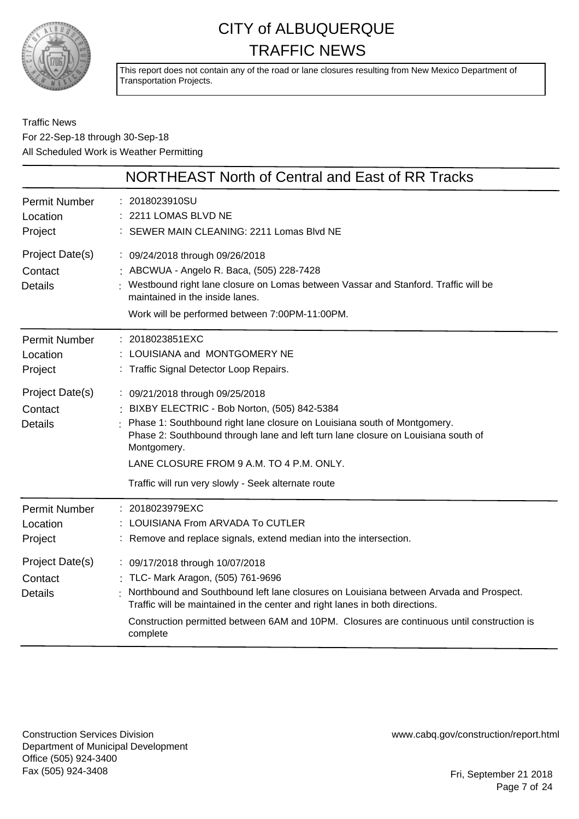

This report does not contain any of the road or lane closures resulting from New Mexico Department of Transportation Projects.

#### Traffic News For 22-Sep-18 through 30-Sep-18 All Scheduled Work is Weather Permitting

|                                              | NORTHEAST North of Central and East of RR Tracks                                                                                                                                                                                                                                                                                                          |
|----------------------------------------------|-----------------------------------------------------------------------------------------------------------------------------------------------------------------------------------------------------------------------------------------------------------------------------------------------------------------------------------------------------------|
| <b>Permit Number</b><br>Location<br>Project  | 2018023910SU<br>2211 LOMAS BLVD NE<br>: SEWER MAIN CLEANING: 2211 Lomas Blvd NE                                                                                                                                                                                                                                                                           |
| Project Date(s)<br>Contact<br><b>Details</b> | : 09/24/2018 through 09/26/2018<br>: ABCWUA - Angelo R. Baca, (505) 228-7428<br>Westbound right lane closure on Lomas between Vassar and Stanford. Traffic will be<br>maintained in the inside lanes.<br>Work will be performed between 7:00PM-11:00PM.                                                                                                   |
| <b>Permit Number</b><br>Location<br>Project  | : 2018023851EXC<br>LOUISIANA and MONTGOMERY NE<br>: Traffic Signal Detector Loop Repairs.                                                                                                                                                                                                                                                                 |
| Project Date(s)<br>Contact<br><b>Details</b> | : 09/21/2018 through 09/25/2018<br>BIXBY ELECTRIC - Bob Norton, (505) 842-5384<br>Phase 1: Southbound right lane closure on Louisiana south of Montgomery.<br>Phase 2: Southbound through lane and left turn lane closure on Louisiana south of<br>Montgomery.<br>LANE CLOSURE FROM 9 A.M. TO 4 P.M. ONLY.                                                |
|                                              | Traffic will run very slowly - Seek alternate route                                                                                                                                                                                                                                                                                                       |
| <b>Permit Number</b><br>Location<br>Project  | : 2018023979EXC<br>LOUISIANA From ARVADA To CUTLER<br>: Remove and replace signals, extend median into the intersection.                                                                                                                                                                                                                                  |
| Project Date(s)<br>Contact<br><b>Details</b> | : 09/17/2018 through 10/07/2018<br>: TLC- Mark Aragon, (505) 761-9696<br>Northbound and Southbound left lane closures on Louisiana between Arvada and Prospect.<br>Traffic will be maintained in the center and right lanes in both directions.<br>Construction permitted between 6AM and 10PM. Closures are continuous until construction is<br>complete |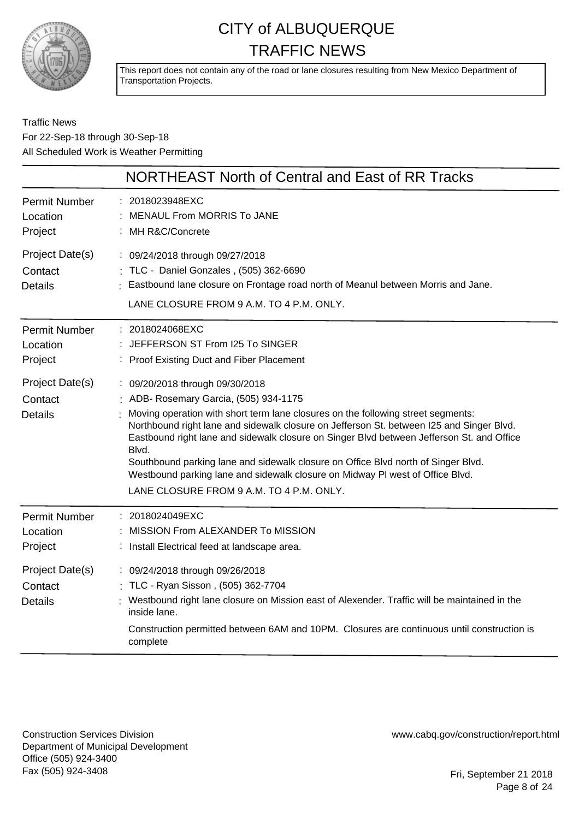

This report does not contain any of the road or lane closures resulting from New Mexico Department of Transportation Projects.

Traffic News For 22-Sep-18 through 30-Sep-18 All Scheduled Work is Weather Permitting

|                                                                | NORTHEAST North of Central and East of RR Tracks                                                                                                                                                                                                                                                                                                                                                                                                                                                                                               |
|----------------------------------------------------------------|------------------------------------------------------------------------------------------------------------------------------------------------------------------------------------------------------------------------------------------------------------------------------------------------------------------------------------------------------------------------------------------------------------------------------------------------------------------------------------------------------------------------------------------------|
| <b>Permit Number</b><br>Location<br>Project                    | : 2018023948EXC<br><b>MENAUL From MORRIS To JANE</b><br>MH R&C/Concrete                                                                                                                                                                                                                                                                                                                                                                                                                                                                        |
| Project Date(s)<br>Contact<br><b>Details</b>                   | : 09/24/2018 through 09/27/2018<br>: TLC - Daniel Gonzales , (505) 362-6690<br>: Eastbound lane closure on Frontage road north of Meanul between Morris and Jane.<br>LANE CLOSURE FROM 9 A.M. TO 4 P.M. ONLY.                                                                                                                                                                                                                                                                                                                                  |
| <b>Permit Number</b><br>Location<br>Project<br>Project Date(s) | : 2018024068EXC<br>: JEFFERSON ST From I25 To SINGER<br>: Proof Existing Duct and Fiber Placement<br>: 09/20/2018 through 09/30/2018                                                                                                                                                                                                                                                                                                                                                                                                           |
| Contact<br><b>Details</b>                                      | : ADB- Rosemary Garcia, (505) 934-1175<br>Moving operation with short term lane closures on the following street segments:<br>Northbound right lane and sidewalk closure on Jefferson St. between I25 and Singer Blvd.<br>Eastbound right lane and sidewalk closure on Singer Blvd between Jefferson St. and Office<br>Blvd.<br>Southbound parking lane and sidewalk closure on Office Blvd north of Singer Blvd.<br>Westbound parking lane and sidewalk closure on Midway PI west of Office Blvd.<br>LANE CLOSURE FROM 9 A.M. TO 4 P.M. ONLY. |
| <b>Permit Number</b><br>Location<br>Project                    | : 2018024049EXC<br>MISSION From ALEXANDER To MISSION<br>: Install Electrical feed at landscape area.                                                                                                                                                                                                                                                                                                                                                                                                                                           |
| Project Date(s)<br>Contact<br><b>Details</b>                   | : 09/24/2018 through 09/26/2018<br>: TLC - Ryan Sisson, (505) 362-7704<br>Westbound right lane closure on Mission east of Alexender. Traffic will be maintained in the<br>inside lane.<br>Construction permitted between 6AM and 10PM. Closures are continuous until construction is<br>complete                                                                                                                                                                                                                                               |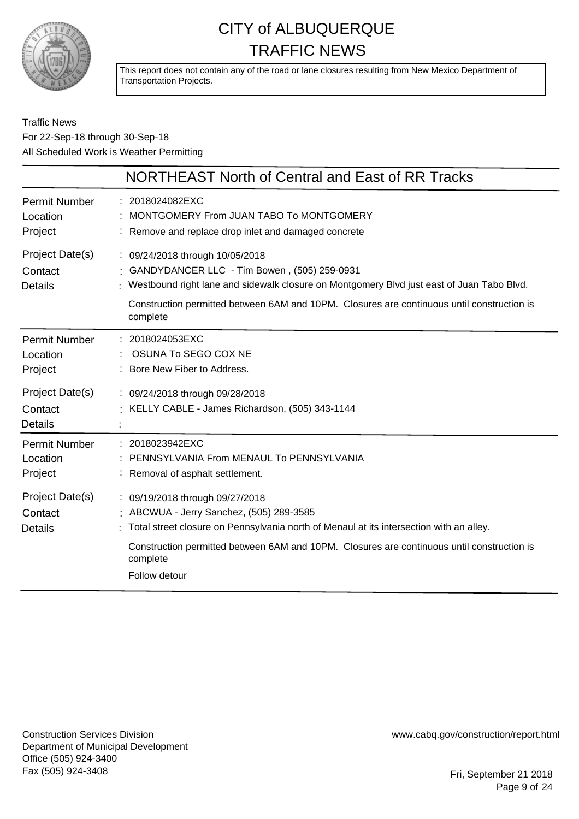

This report does not contain any of the road or lane closures resulting from New Mexico Department of Transportation Projects.

#### Traffic News For 22-Sep-18 through 30-Sep-18 All Scheduled Work is Weather Permitting

|                                                                | NORTHEAST North of Central and East of RR Tracks                                                                                                                                                                                                                                                  |
|----------------------------------------------------------------|---------------------------------------------------------------------------------------------------------------------------------------------------------------------------------------------------------------------------------------------------------------------------------------------------|
| <b>Permit Number</b><br>Location<br>Project                    | : 2018024082EXC<br>: MONTGOMERY From JUAN TABO To MONTGOMERY<br>Remove and replace drop inlet and damaged concrete                                                                                                                                                                                |
| Project Date(s)<br>Contact<br><b>Details</b>                   | : 09/24/2018 through 10/05/2018<br>: GANDYDANCER LLC - Tim Bowen, (505) 259-0931<br>Westbound right lane and sidewalk closure on Montgomery Blvd just east of Juan Tabo Blvd.<br>Construction permitted between 6AM and 10PM. Closures are continuous until construction is<br>complete           |
| <b>Permit Number</b><br>Location<br>Project<br>Project Date(s) | : 2018024053EXC<br>OSUNA To SEGO COX NE<br>: Bore New Fiber to Address.<br>: 09/24/2018 through 09/28/2018                                                                                                                                                                                        |
| Contact<br><b>Details</b>                                      | : KELLY CABLE - James Richardson, (505) 343-1144                                                                                                                                                                                                                                                  |
| <b>Permit Number</b><br>Location<br>Project                    | 2018023942EXC<br>: PENNSYLVANIA From MENAUL To PENNSYLVANIA<br>: Removal of asphalt settlement.                                                                                                                                                                                                   |
| Project Date(s)<br>Contact<br><b>Details</b>                   | : 09/19/2018 through 09/27/2018<br>: ABCWUA - Jerry Sanchez, (505) 289-3585<br>Total street closure on Pennsylvania north of Menaul at its intersection with an alley.<br>Construction permitted between 6AM and 10PM. Closures are continuous until construction is<br>complete<br>Follow detour |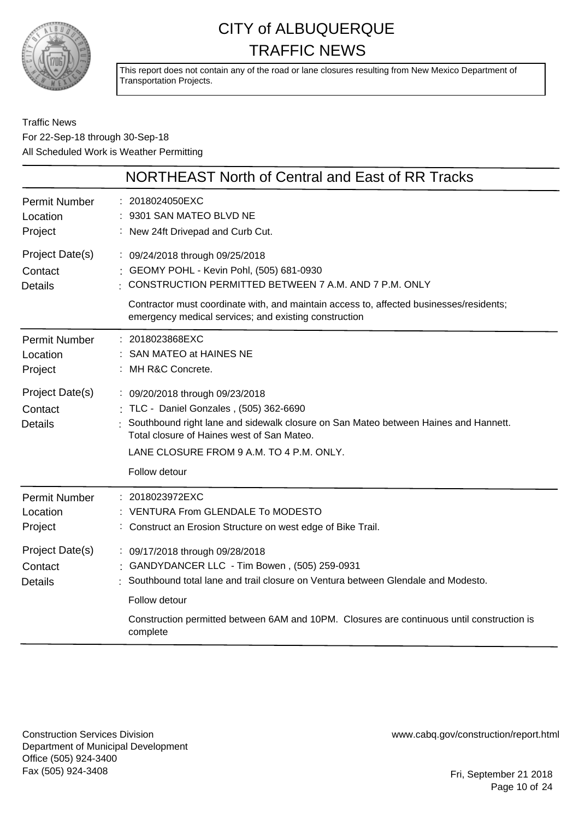

This report does not contain any of the road or lane closures resulting from New Mexico Department of Transportation Projects.

Traffic News For 22-Sep-18 through 30-Sep-18 All Scheduled Work is Weather Permitting

|                                              | NORTHEAST North of Central and East of RR Tracks                                                                                                                                                                                                                             |
|----------------------------------------------|------------------------------------------------------------------------------------------------------------------------------------------------------------------------------------------------------------------------------------------------------------------------------|
| <b>Permit Number</b><br>Location<br>Project  | : 2018024050EXC<br>9301 SAN MATEO BLVD NE<br>: New 24ft Drivepad and Curb Cut.                                                                                                                                                                                               |
| Project Date(s)<br>Contact<br><b>Details</b> | : 09/24/2018 through 09/25/2018<br>: GEOMY POHL - Kevin Pohl, (505) 681-0930<br>CONSTRUCTION PERMITTED BETWEEN 7 A.M. AND 7 P.M. ONLY<br>Contractor must coordinate with, and maintain access to, affected businesses/residents;                                             |
|                                              | emergency medical services; and existing construction                                                                                                                                                                                                                        |
| <b>Permit Number</b><br>Location<br>Project  | : 2018023868EXC<br>SAN MATEO at HAINES NE<br>: MH R&C Concrete.                                                                                                                                                                                                              |
| Project Date(s)<br>Contact<br><b>Details</b> | : 09/20/2018 through 09/23/2018<br>: TLC - Daniel Gonzales, (505) 362-6690<br>Southbound right lane and sidewalk closure on San Mateo between Haines and Hannett.<br>Total closure of Haines west of San Mateo.<br>LANE CLOSURE FROM 9 A.M. TO 4 P.M. ONLY.<br>Follow detour |
| <b>Permit Number</b><br>Location<br>Project  | 2018023972EXC<br>: VENTURA From GLENDALE To MODESTO<br>: Construct an Erosion Structure on west edge of Bike Trail.                                                                                                                                                          |
| Project Date(s)<br>Contact<br><b>Details</b> | : 09/17/2018 through 09/28/2018<br>GANDYDANCER LLC - Tim Bowen, (505) 259-0931<br>Southbound total lane and trail closure on Ventura between Glendale and Modesto.                                                                                                           |
|                                              | Follow detour<br>Construction permitted between 6AM and 10PM. Closures are continuous until construction is<br>complete                                                                                                                                                      |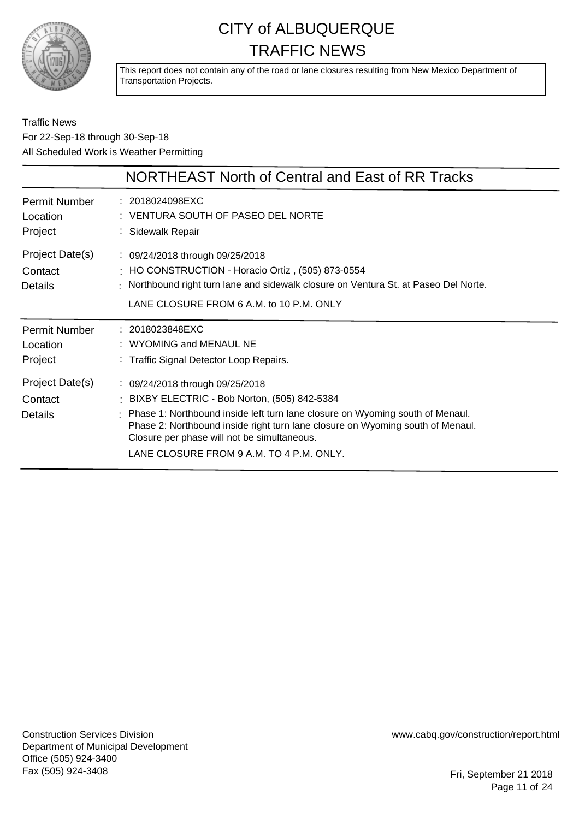

This report does not contain any of the road or lane closures resulting from New Mexico Department of Transportation Projects.

Traffic News For 22-Sep-18 through 30-Sep-18 All Scheduled Work is Weather Permitting

|                                             | NORTHEAST North of Central and East of RR Tracks                                                                                                                                                                                                                                                                                                 |
|---------------------------------------------|--------------------------------------------------------------------------------------------------------------------------------------------------------------------------------------------------------------------------------------------------------------------------------------------------------------------------------------------------|
| <b>Permit Number</b><br>Location<br>Project | : 2018024098EXC<br>: VENTURA SOUTH OF PASEO DEL NORTE<br>: Sidewalk Repair                                                                                                                                                                                                                                                                       |
| Project Date(s)<br>Contact<br>Details       | : 09/24/2018 through 09/25/2018<br>: HO CONSTRUCTION - Horacio Ortiz, (505) 873-0554<br>: Northbound right turn lane and sidewalk closure on Ventura St. at Paseo Del Norte.<br>LANE CLOSURE FROM 6 A.M. to 10 P.M. ONLY                                                                                                                         |
| <b>Permit Number</b><br>Location<br>Project | : 2018023848EXC<br>: WYOMING and MENAUL NE<br>: Traffic Signal Detector Loop Repairs.                                                                                                                                                                                                                                                            |
| Project Date(s)<br>Contact<br>Details       | : 09/24/2018 through 09/25/2018<br>: BIXBY ELECTRIC - Bob Norton, (505) 842-5384<br>: Phase 1: Northbound inside left turn lane closure on Wyoming south of Menaul.<br>Phase 2: Northbound inside right turn lane closure on Wyoming south of Menaul.<br>Closure per phase will not be simultaneous.<br>LANE CLOSURE FROM 9 A.M. TO 4 P.M. ONLY. |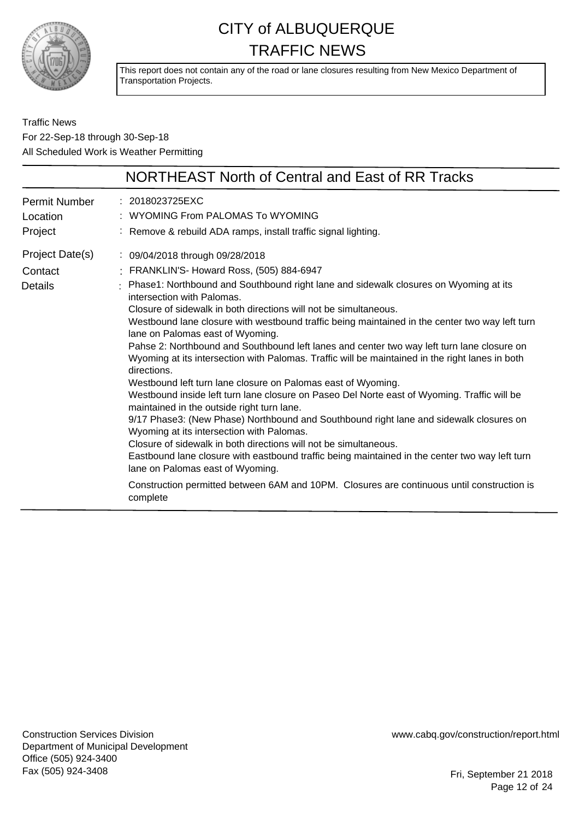

This report does not contain any of the road or lane closures resulting from New Mexico Department of Transportation Projects.

Traffic News For 22-Sep-18 through 30-Sep-18 All Scheduled Work is Weather Permitting

|                                              | NORTHEAST North of Central and East of RR Tracks                                                                                                                                                                                                                                                                                                                                                                                                                                                                                                                                                                                                                                                                                                                                                                                                                                                                                                                                                                                                                                                                                                                                                                                                                                                       |
|----------------------------------------------|--------------------------------------------------------------------------------------------------------------------------------------------------------------------------------------------------------------------------------------------------------------------------------------------------------------------------------------------------------------------------------------------------------------------------------------------------------------------------------------------------------------------------------------------------------------------------------------------------------------------------------------------------------------------------------------------------------------------------------------------------------------------------------------------------------------------------------------------------------------------------------------------------------------------------------------------------------------------------------------------------------------------------------------------------------------------------------------------------------------------------------------------------------------------------------------------------------------------------------------------------------------------------------------------------------|
| Permit Number<br>Location<br>Project         | : 2018023725EXC<br>: WYOMING From PALOMAS To WYOMING<br>: Remove & rebuild ADA ramps, install traffic signal lighting.                                                                                                                                                                                                                                                                                                                                                                                                                                                                                                                                                                                                                                                                                                                                                                                                                                                                                                                                                                                                                                                                                                                                                                                 |
| Project Date(s)<br>Contact<br><b>Details</b> | : 09/04/2018 through 09/28/2018<br>: FRANKLIN'S- Howard Ross, (505) 884-6947<br>: Phase1: Northbound and Southbound right lane and sidewalk closures on Wyoming at its<br>intersection with Palomas.<br>Closure of sidewalk in both directions will not be simultaneous.<br>Westbound lane closure with westbound traffic being maintained in the center two way left turn<br>lane on Palomas east of Wyoming.<br>Pahse 2: Northbound and Southbound left lanes and center two way left turn lane closure on<br>Wyoming at its intersection with Palomas. Traffic will be maintained in the right lanes in both<br>directions.<br>Westbound left turn lane closure on Palomas east of Wyoming.<br>Westbound inside left turn lane closure on Paseo Del Norte east of Wyoming. Traffic will be<br>maintained in the outside right turn lane.<br>9/17 Phase3: (New Phase) Northbound and Southbound right lane and sidewalk closures on<br>Wyoming at its intersection with Palomas.<br>Closure of sidewalk in both directions will not be simultaneous.<br>Eastbound lane closure with eastbound traffic being maintained in the center two way left turn<br>lane on Palomas east of Wyoming.<br>Construction permitted between 6AM and 10PM. Closures are continuous until construction is<br>complete |

Construction Services Division Department of Municipal Development Office (505) 924-3400 Fax (505) 924-3408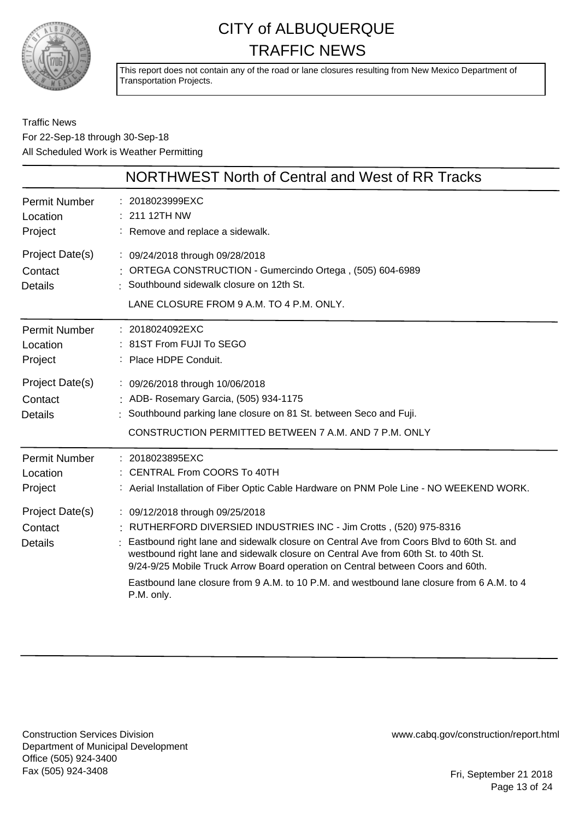

This report does not contain any of the road or lane closures resulting from New Mexico Department of Transportation Projects.

#### Traffic News For 22-Sep-18 through 30-Sep-18 All Scheduled Work is Weather Permitting

|                                                                           | NORTHWEST North of Central and West of RR Tracks                                                                                                                                                                                                                                                                                                                                                                                                                                      |
|---------------------------------------------------------------------------|---------------------------------------------------------------------------------------------------------------------------------------------------------------------------------------------------------------------------------------------------------------------------------------------------------------------------------------------------------------------------------------------------------------------------------------------------------------------------------------|
| <b>Permit Number</b><br>Location<br>Project                               | 2018023999EXC<br>211 12TH NW<br>: Remove and replace a sidewalk.                                                                                                                                                                                                                                                                                                                                                                                                                      |
| Project Date(s)<br>Contact<br><b>Details</b>                              | : 09/24/2018 through 09/28/2018<br>: ORTEGA CONSTRUCTION - Gumercindo Ortega, (505) 604-6989<br>Southbound sidewalk closure on 12th St.<br>LANE CLOSURE FROM 9 A.M. TO 4 P.M. ONLY.                                                                                                                                                                                                                                                                                                   |
| <b>Permit Number</b><br>Location<br>Project<br>Project Date(s)<br>Contact | : 2018024092EXC<br>81ST From FUJI To SEGO<br>: Place HDPE Conduit.<br>: 09/26/2018 through 10/06/2018<br>: ADB- Rosemary Garcia, (505) 934-1175                                                                                                                                                                                                                                                                                                                                       |
| <b>Details</b>                                                            | : Southbound parking lane closure on 81 St. between Seco and Fuji.<br>CONSTRUCTION PERMITTED BETWEEN 7 A.M. AND 7 P.M. ONLY                                                                                                                                                                                                                                                                                                                                                           |
| <b>Permit Number</b><br>Location<br>Project                               | : 2018023895EXC<br>: CENTRAL From COORS To 40TH<br>: Aerial Installation of Fiber Optic Cable Hardware on PNM Pole Line - NO WEEKEND WORK.                                                                                                                                                                                                                                                                                                                                            |
| Project Date(s)<br>Contact<br><b>Details</b>                              | : 09/12/2018 through 09/25/2018<br>: RUTHERFORD DIVERSIED INDUSTRIES INC - Jim Crotts, (520) 975-8316<br>Eastbound right lane and sidewalk closure on Central Ave from Coors Blvd to 60th St. and<br>westbound right lane and sidewalk closure on Central Ave from 60th St. to 40th St.<br>9/24-9/25 Mobile Truck Arrow Board operation on Central between Coors and 60th.<br>Eastbound lane closure from 9 A.M. to 10 P.M. and westbound lane closure from 6 A.M. to 4<br>P.M. only. |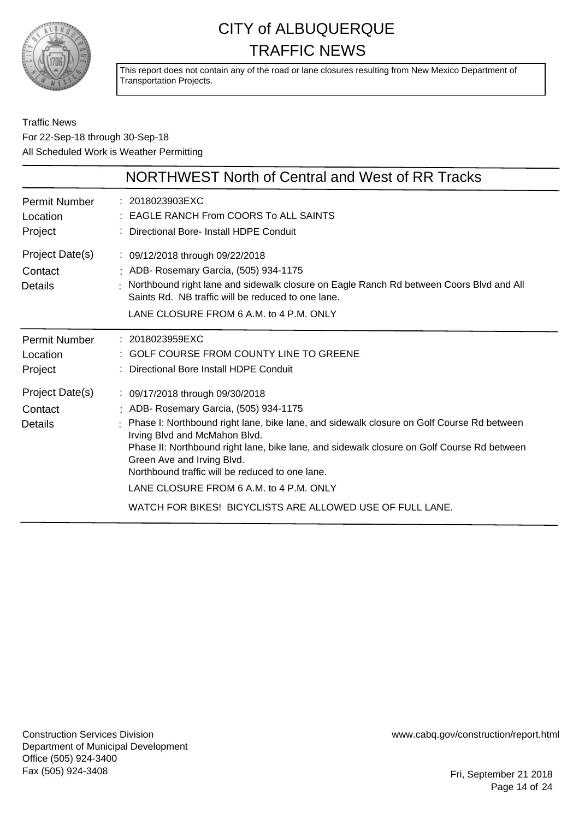

This report does not contain any of the road or lane closures resulting from New Mexico Department of Transportation Projects.

#### Traffic News For 22-Sep-18 through 30-Sep-18 All Scheduled Work is Weather Permitting

| NORTHWEST North of Central and West of RR Tracks                                                                                                                                                                                                                                                                                                                                                                                                                                               |
|------------------------------------------------------------------------------------------------------------------------------------------------------------------------------------------------------------------------------------------------------------------------------------------------------------------------------------------------------------------------------------------------------------------------------------------------------------------------------------------------|
| : 2018023903EXC<br>: EAGLE RANCH From COORS To ALL SAINTS<br>: Directional Bore- Install HDPE Conduit                                                                                                                                                                                                                                                                                                                                                                                          |
| : 09/12/2018 through 09/22/2018<br>: ADB- Rosemary Garcia, (505) 934-1175<br>Northbound right lane and sidewalk closure on Eagle Ranch Rd between Coors Blvd and All<br>Saints Rd. NB traffic will be reduced to one lane.<br>LANE CLOSURE FROM 6 A.M. to 4 P.M. ONLY                                                                                                                                                                                                                          |
| : 2018023959EXC<br>: GOLF COURSE FROM COUNTY LINE TO GREENE<br>: Directional Bore Install HDPE Conduit                                                                                                                                                                                                                                                                                                                                                                                         |
| : 09/17/2018 through 09/30/2018<br>: ADB- Rosemary Garcia, (505) 934-1175<br>Phase I: Northbound right lane, bike lane, and sidewalk closure on Golf Course Rd between<br>Irving Blvd and McMahon Blvd.<br>Phase II: Northbound right lane, bike lane, and sidewalk closure on Golf Course Rd between<br>Green Ave and Irving Blvd.<br>Northbound traffic will be reduced to one lane.<br>LANE CLOSURE FROM 6 A.M. to 4 P.M. ONLY<br>WATCH FOR BIKES! BICYCLISTS ARE ALLOWED USE OF FULL LANE. |
|                                                                                                                                                                                                                                                                                                                                                                                                                                                                                                |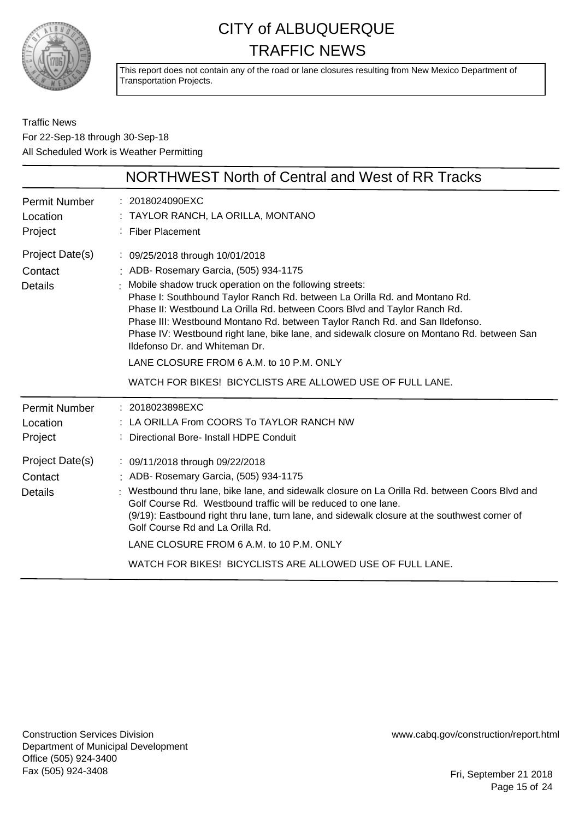

This report does not contain any of the road or lane closures resulting from New Mexico Department of Transportation Projects.

Traffic News For 22-Sep-18 through 30-Sep-18 All Scheduled Work is Weather Permitting

|                                              | NORTHWEST North of Central and West of RR Tracks                                                                                                                                                                                                                                                                                                                                                                                                                                                                                                                                                                         |
|----------------------------------------------|--------------------------------------------------------------------------------------------------------------------------------------------------------------------------------------------------------------------------------------------------------------------------------------------------------------------------------------------------------------------------------------------------------------------------------------------------------------------------------------------------------------------------------------------------------------------------------------------------------------------------|
| <b>Permit Number</b><br>Location<br>Project  | $: 2018024090$ EXC<br>: TAYLOR RANCH, LA ORILLA, MONTANO<br>: Fiber Placement                                                                                                                                                                                                                                                                                                                                                                                                                                                                                                                                            |
| Project Date(s)<br>Contact<br><b>Details</b> | : 09/25/2018 through 10/01/2018<br>: ADB- Rosemary Garcia, (505) 934-1175<br>Mobile shadow truck operation on the following streets:<br>Phase I: Southbound Taylor Ranch Rd. between La Orilla Rd. and Montano Rd.<br>Phase II: Westbound La Orilla Rd. between Coors Blvd and Taylor Ranch Rd.<br>Phase III: Westbound Montano Rd. between Taylor Ranch Rd. and San Ildefonso.<br>Phase IV: Westbound right lane, bike lane, and sidewalk closure on Montano Rd. between San<br>Ildefonso Dr. and Whiteman Dr.<br>LANE CLOSURE FROM 6 A.M. to 10 P.M. ONLY<br>WATCH FOR BIKES! BICYCLISTS ARE ALLOWED USE OF FULL LANE. |
| <b>Permit Number</b><br>Location<br>Project  | : 2018023898EXC<br>: LA ORILLA From COORS To TAYLOR RANCH NW<br>: Directional Bore- Install HDPE Conduit                                                                                                                                                                                                                                                                                                                                                                                                                                                                                                                 |
| Project Date(s)<br>Contact<br><b>Details</b> | : 09/11/2018 through 09/22/2018<br>: ADB- Rosemary Garcia, (505) 934-1175<br>Westbound thru lane, bike lane, and sidewalk closure on La Orilla Rd. between Coors Blvd and<br>Golf Course Rd. Westbound traffic will be reduced to one lane.<br>(9/19): Eastbound right thru lane, turn lane, and sidewalk closure at the southwest corner of<br>Golf Course Rd and La Orilla Rd.<br>LANE CLOSURE FROM 6 A.M. to 10 P.M. ONLY<br>WATCH FOR BIKES! BICYCLISTS ARE ALLOWED USE OF FULL LANE.                                                                                                                                |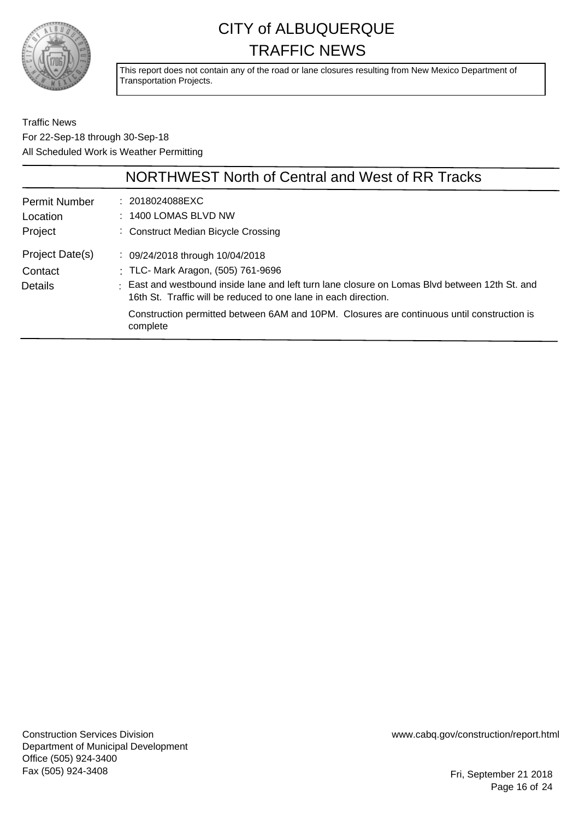

This report does not contain any of the road or lane closures resulting from New Mexico Department of Transportation Projects.

Traffic News For 22-Sep-18 through 30-Sep-18 All Scheduled Work is Weather Permitting

|                                             | NORTHWEST North of Central and West of RR Tracks                                                                                                                                                                                                                                                                                                     |
|---------------------------------------------|------------------------------------------------------------------------------------------------------------------------------------------------------------------------------------------------------------------------------------------------------------------------------------------------------------------------------------------------------|
| <b>Permit Number</b><br>Location<br>Project | : 2018024088EXC<br>$: 1400$ LOMAS BLVD NW<br>: Construct Median Bicycle Crossing                                                                                                                                                                                                                                                                     |
| Project Date(s)<br>Contact<br>Details       | : 09/24/2018 through 10/04/2018<br>: TLC- Mark Aragon, (505) 761-9696<br>: East and westbound inside lane and left turn lane closure on Lomas Blvd between 12th St. and<br>16th St. Traffic will be reduced to one lane in each direction.<br>Construction permitted between 6AM and 10PM. Closures are continuous until construction is<br>complete |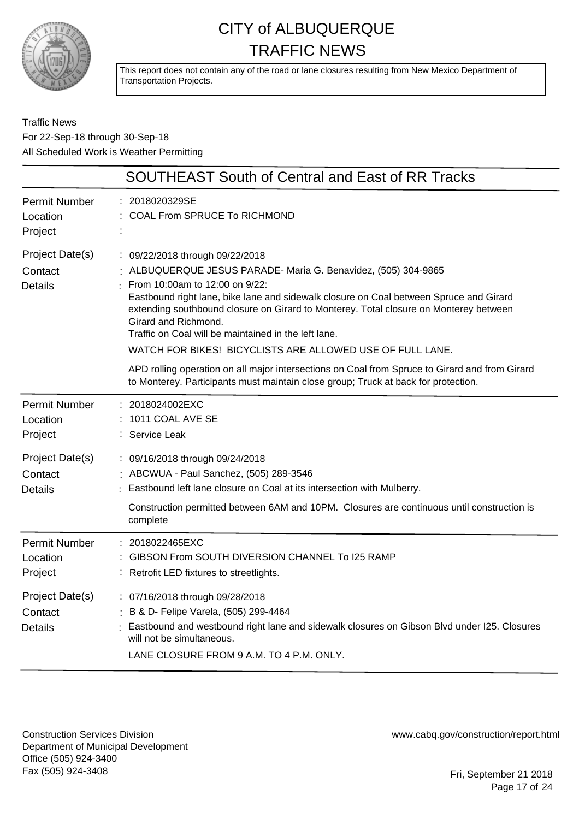

This report does not contain any of the road or lane closures resulting from New Mexico Department of Transportation Projects.

#### Traffic News For 22-Sep-18 through 30-Sep-18 All Scheduled Work is Weather Permitting

|                                              | <b>SOUTHEAST South of Central and East of RR Tracks</b>                                                                                                                                                                                                                                                                                                                                                                                                            |
|----------------------------------------------|--------------------------------------------------------------------------------------------------------------------------------------------------------------------------------------------------------------------------------------------------------------------------------------------------------------------------------------------------------------------------------------------------------------------------------------------------------------------|
| <b>Permit Number</b><br>Location<br>Project  | 2018020329SE<br>COAL From SPRUCE To RICHMOND                                                                                                                                                                                                                                                                                                                                                                                                                       |
| Project Date(s)<br>Contact<br><b>Details</b> | : 09/22/2018 through 09/22/2018<br>: ALBUQUERQUE JESUS PARADE-Maria G. Benavidez, (505) 304-9865<br>From 10:00am to 12:00 on 9/22:<br>Eastbound right lane, bike lane and sidewalk closure on Coal between Spruce and Girard<br>extending southbound closure on Girard to Monterey. Total closure on Monterey between<br>Girard and Richmond.<br>Traffic on Coal will be maintained in the left lane.<br>WATCH FOR BIKES! BICYCLISTS ARE ALLOWED USE OF FULL LANE. |
|                                              | APD rolling operation on all major intersections on Coal from Spruce to Girard and from Girard<br>to Monterey. Participants must maintain close group; Truck at back for protection.                                                                                                                                                                                                                                                                               |
| Permit Number<br>Location<br>Project         | : 2018024002EXC<br>1011 COAL AVE SE<br>Service Leak                                                                                                                                                                                                                                                                                                                                                                                                                |
| Project Date(s)<br>Contact<br><b>Details</b> | : 09/16/2018 through 09/24/2018<br>: ABCWUA - Paul Sanchez, (505) 289-3546<br>Eastbound left lane closure on Coal at its intersection with Mulberry.<br>Construction permitted between 6AM and 10PM. Closures are continuous until construction is<br>complete                                                                                                                                                                                                     |
| <b>Permit Number</b><br>Location<br>Project  | : 2018022465EXC<br>GIBSON From SOUTH DIVERSION CHANNEL To I25 RAMP<br>Retrofit LED fixtures to streetlights.                                                                                                                                                                                                                                                                                                                                                       |
| Project Date(s)<br>Contact<br><b>Details</b> | : 07/16/2018 through 09/28/2018<br>: B & D- Felipe Varela, (505) 299-4464<br>Eastbound and westbound right lane and sidewalk closures on Gibson Blvd under I25. Closures<br>will not be simultaneous.<br>LANE CLOSURE FROM 9 A.M. TO 4 P.M. ONLY.                                                                                                                                                                                                                  |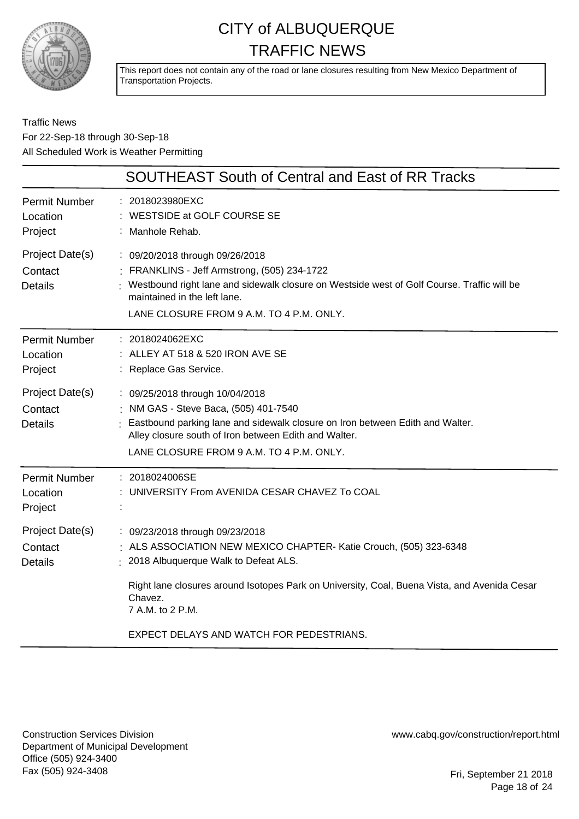

This report does not contain any of the road or lane closures resulting from New Mexico Department of Transportation Projects.

Traffic News For 22-Sep-18 through 30-Sep-18 All Scheduled Work is Weather Permitting

|                                              | <b>SOUTHEAST South of Central and East of RR Tracks</b>                                                                                                                                                                                                                        |
|----------------------------------------------|--------------------------------------------------------------------------------------------------------------------------------------------------------------------------------------------------------------------------------------------------------------------------------|
| <b>Permit Number</b><br>Location<br>Project  | : 2018023980EXC<br>WESTSIDE at GOLF COURSE SE<br>: Manhole Rehab.                                                                                                                                                                                                              |
| Project Date(s)<br>Contact<br><b>Details</b> | : 09/20/2018 through 09/26/2018<br>: FRANKLINS - Jeff Armstrong, (505) 234-1722<br>: Westbound right lane and sidewalk closure on Westside west of Golf Course. Traffic will be<br>maintained in the left lane.<br>LANE CLOSURE FROM 9 A.M. TO 4 P.M. ONLY.                    |
| Permit Number<br>Location<br>Project         | : 2018024062EXC<br>: ALLEY AT 518 & 520 IRON AVE SE<br>: Replace Gas Service.                                                                                                                                                                                                  |
| Project Date(s)<br>Contact<br><b>Details</b> | : 09/25/2018 through 10/04/2018<br>: NM GAS - Steve Baca, (505) 401-7540<br>Eastbound parking lane and sidewalk closure on Iron between Edith and Walter.<br>Alley closure south of Iron between Edith and Walter.<br>LANE CLOSURE FROM 9 A.M. TO 4 P.M. ONLY.                 |
| <b>Permit Number</b><br>Location<br>Project  | : 2018024006SE<br>: UNIVERSITY From AVENIDA CESAR CHAVEZ To COAL                                                                                                                                                                                                               |
| Project Date(s)<br>Contact<br><b>Details</b> | : 09/23/2018 through 09/23/2018<br>: ALS ASSOCIATION NEW MEXICO CHAPTER- Katie Crouch, (505) 323-6348<br>: 2018 Albuquerque Walk to Defeat ALS.<br>Right lane closures around Isotopes Park on University, Coal, Buena Vista, and Avenida Cesar<br>Chavez.<br>7 A.M. to 2 P.M. |
|                                              | EXPECT DELAYS AND WATCH FOR PEDESTRIANS.                                                                                                                                                                                                                                       |

Construction Services Division Department of Municipal Development Office (505) 924-3400 Fax (505) 924-3408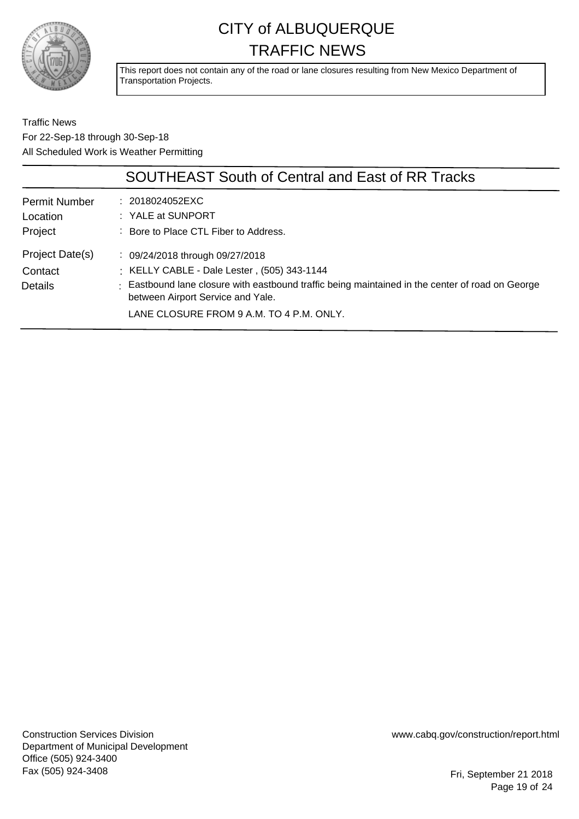

This report does not contain any of the road or lane closures resulting from New Mexico Department of Transportation Projects.

Traffic News For 22-Sep-18 through 30-Sep-18 All Scheduled Work is Weather Permitting

|                                              | <b>SOUTHEAST South of Central and East of RR Tracks</b>                                                                                                                                                                                                                        |
|----------------------------------------------|--------------------------------------------------------------------------------------------------------------------------------------------------------------------------------------------------------------------------------------------------------------------------------|
| <b>Permit Number</b><br>Location<br>Project  | : 2018024052EXC<br>$:$ YALE at SUNPORT<br>: Bore to Place CTL Fiber to Address.                                                                                                                                                                                                |
| Project Date(s)<br>Contact<br><b>Details</b> | $\therefore$ 09/24/2018 through 09/27/2018<br>: KELLY CABLE - Dale Lester, (505) 343-1144<br>: Eastbound lane closure with eastbound traffic being maintained in the center of road on George<br>between Airport Service and Yale.<br>LANE CLOSURE FROM 9 A.M. TO 4 P.M. ONLY. |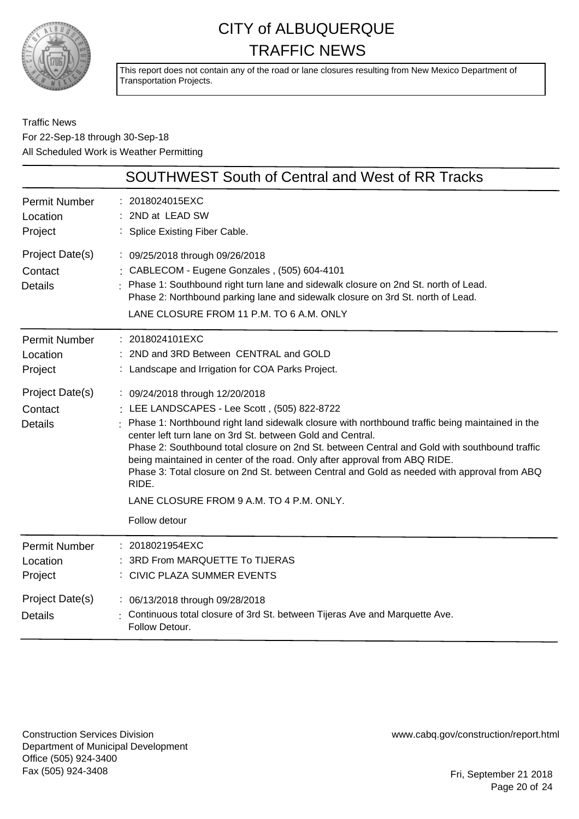

This report does not contain any of the road or lane closures resulting from New Mexico Department of Transportation Projects.

Traffic News For 22-Sep-18 through 30-Sep-18 All Scheduled Work is Weather Permitting

|                                              | <b>SOUTHWEST South of Central and West of RR Tracks</b>                                                                                                                                                                                                                                                                                                                                                                                                                                                                                                                                              |
|----------------------------------------------|------------------------------------------------------------------------------------------------------------------------------------------------------------------------------------------------------------------------------------------------------------------------------------------------------------------------------------------------------------------------------------------------------------------------------------------------------------------------------------------------------------------------------------------------------------------------------------------------------|
| <b>Permit Number</b><br>Location<br>Project  | : 2018024015EXC<br>2ND at LEAD SW<br>: Splice Existing Fiber Cable.                                                                                                                                                                                                                                                                                                                                                                                                                                                                                                                                  |
| Project Date(s)<br>Contact<br><b>Details</b> | : 09/25/2018 through 09/26/2018<br>: CABLECOM - Eugene Gonzales, (505) 604-4101<br>: Phase 1: Southbound right turn lane and sidewalk closure on 2nd St. north of Lead.<br>Phase 2: Northbound parking lane and sidewalk closure on 3rd St. north of Lead.<br>LANE CLOSURE FROM 11 P.M. TO 6 A.M. ONLY                                                                                                                                                                                                                                                                                               |
| <b>Permit Number</b><br>Location<br>Project  | : 2018024101EXC<br>: 2ND and 3RD Between CENTRAL and GOLD<br>: Landscape and Irrigation for COA Parks Project.                                                                                                                                                                                                                                                                                                                                                                                                                                                                                       |
| Project Date(s)<br>Contact<br><b>Details</b> | : 09/24/2018 through 12/20/2018<br>: LEE LANDSCAPES - Lee Scott, (505) 822-8722<br>Phase 1: Northbound right land sidewalk closure with northbound traffic being maintained in the<br>center left turn lane on 3rd St. between Gold and Central.<br>Phase 2: Southbound total closure on 2nd St. between Central and Gold with southbound traffic<br>being maintained in center of the road. Only after approval from ABQ RIDE.<br>Phase 3: Total closure on 2nd St. between Central and Gold as needed with approval from ABQ<br>RIDE.<br>LANE CLOSURE FROM 9 A.M. TO 4 P.M. ONLY.<br>Follow detour |
| <b>Permit Number</b><br>Location<br>Project  | : 2018021954EXC<br>3RD From MARQUETTE To TIJERAS<br>: CIVIC PLAZA SUMMER EVENTS                                                                                                                                                                                                                                                                                                                                                                                                                                                                                                                      |
| Project Date(s)<br><b>Details</b>            | : 06/13/2018 through 09/28/2018<br>: Continuous total closure of 3rd St. between Tijeras Ave and Marquette Ave.<br>Follow Detour.                                                                                                                                                                                                                                                                                                                                                                                                                                                                    |

Construction Services Division Department of Municipal Development Office (505) 924-3400 Fax (505) 924-3408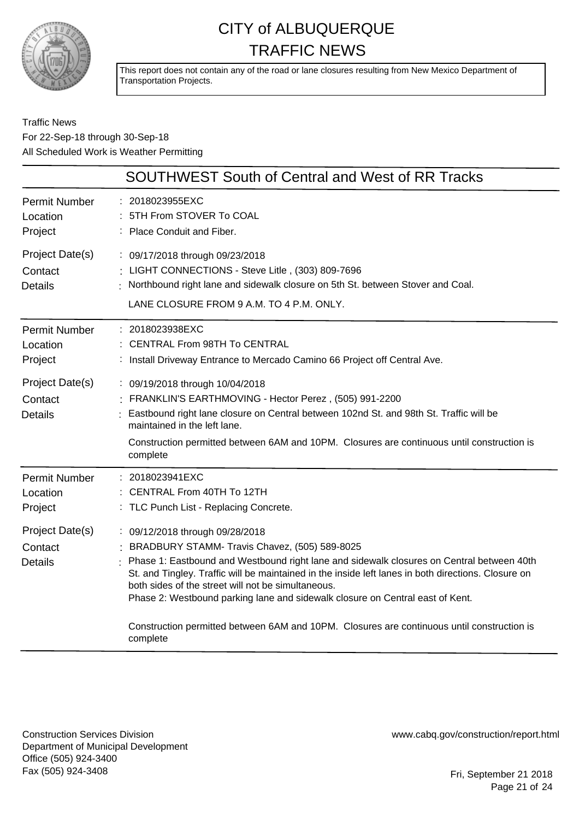

This report does not contain any of the road or lane closures resulting from New Mexico Department of Transportation Projects.

Traffic News For 22-Sep-18 through 30-Sep-18 All Scheduled Work is Weather Permitting

|                                              | <b>SOUTHWEST South of Central and West of RR Tracks</b>                                                                                                                                                                                                                                                                                                                                                                                                                                                                               |
|----------------------------------------------|---------------------------------------------------------------------------------------------------------------------------------------------------------------------------------------------------------------------------------------------------------------------------------------------------------------------------------------------------------------------------------------------------------------------------------------------------------------------------------------------------------------------------------------|
| <b>Permit Number</b><br>Location<br>Project  | : 2018023955EXC<br>: 5TH From STOVER To COAL<br>Place Conduit and Fiber.                                                                                                                                                                                                                                                                                                                                                                                                                                                              |
| Project Date(s)<br>Contact<br><b>Details</b> | : 09/17/2018 through 09/23/2018<br>: LIGHT CONNECTIONS - Steve Litle, (303) 809-7696<br>Northbound right lane and sidewalk closure on 5th St. between Stover and Coal.<br>LANE CLOSURE FROM 9 A.M. TO 4 P.M. ONLY.                                                                                                                                                                                                                                                                                                                    |
| <b>Permit Number</b><br>Location<br>Project  | : 2018023938EXC<br>: CENTRAL From 98TH To CENTRAL<br>: Install Driveway Entrance to Mercado Camino 66 Project off Central Ave.                                                                                                                                                                                                                                                                                                                                                                                                        |
| Project Date(s)<br>Contact<br><b>Details</b> | : 09/19/2018 through 10/04/2018<br>: FRANKLIN'S EARTHMOVING - Hector Perez, (505) 991-2200<br>Eastbound right lane closure on Central between 102nd St. and 98th St. Traffic will be<br>maintained in the left lane.<br>Construction permitted between 6AM and 10PM. Closures are continuous until construction is<br>complete                                                                                                                                                                                                        |
| <b>Permit Number</b><br>Location<br>Project  | : 2018023941EXC<br>CENTRAL From 40TH To 12TH<br>: TLC Punch List - Replacing Concrete.                                                                                                                                                                                                                                                                                                                                                                                                                                                |
| Project Date(s)<br>Contact<br><b>Details</b> | : 09/12/2018 through 09/28/2018<br>BRADBURY STAMM- Travis Chavez, (505) 589-8025<br>Phase 1: Eastbound and Westbound right lane and sidewalk closures on Central between 40th<br>St. and Tingley. Traffic will be maintained in the inside left lanes in both directions. Closure on<br>both sides of the street will not be simultaneous.<br>Phase 2: Westbound parking lane and sidewalk closure on Central east of Kent.<br>Construction permitted between 6AM and 10PM. Closures are continuous until construction is<br>complete |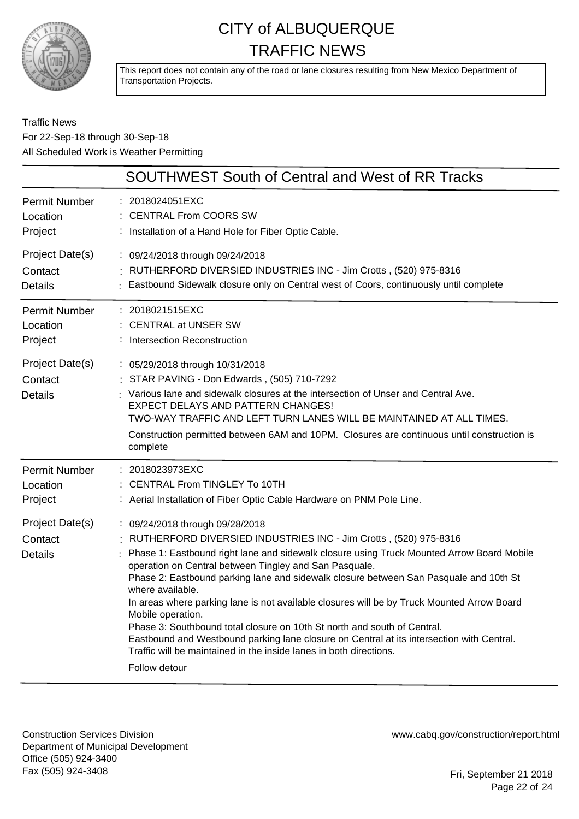

This report does not contain any of the road or lane closures resulting from New Mexico Department of Transportation Projects.

#### Traffic News For 22-Sep-18 through 30-Sep-18 All Scheduled Work is Weather Permitting

|                                              | <b>SOUTHWEST South of Central and West of RR Tracks</b>                                                                                                                                                                                                                                                                                                                                                                                                                                                                                                                                                                                                                                                                                                       |
|----------------------------------------------|---------------------------------------------------------------------------------------------------------------------------------------------------------------------------------------------------------------------------------------------------------------------------------------------------------------------------------------------------------------------------------------------------------------------------------------------------------------------------------------------------------------------------------------------------------------------------------------------------------------------------------------------------------------------------------------------------------------------------------------------------------------|
| Permit Number                                | : 2018024051EXC                                                                                                                                                                                                                                                                                                                                                                                                                                                                                                                                                                                                                                                                                                                                               |
| Location                                     | : CENTRAL From COORS SW                                                                                                                                                                                                                                                                                                                                                                                                                                                                                                                                                                                                                                                                                                                                       |
| Project                                      | : Installation of a Hand Hole for Fiber Optic Cable.                                                                                                                                                                                                                                                                                                                                                                                                                                                                                                                                                                                                                                                                                                          |
| Project Date(s)                              | : 09/24/2018 through 09/24/2018                                                                                                                                                                                                                                                                                                                                                                                                                                                                                                                                                                                                                                                                                                                               |
| Contact                                      | RUTHERFORD DIVERSIED INDUSTRIES INC - Jim Crotts, (520) 975-8316                                                                                                                                                                                                                                                                                                                                                                                                                                                                                                                                                                                                                                                                                              |
| <b>Details</b>                               | : Eastbound Sidewalk closure only on Central west of Coors, continuously until complete                                                                                                                                                                                                                                                                                                                                                                                                                                                                                                                                                                                                                                                                       |
| Permit Number                                | : 2018021515EXC                                                                                                                                                                                                                                                                                                                                                                                                                                                                                                                                                                                                                                                                                                                                               |
| Location                                     | <b>CENTRAL at UNSER SW</b>                                                                                                                                                                                                                                                                                                                                                                                                                                                                                                                                                                                                                                                                                                                                    |
| Project                                      | : Intersection Reconstruction                                                                                                                                                                                                                                                                                                                                                                                                                                                                                                                                                                                                                                                                                                                                 |
| Project Date(s)<br>Contact<br><b>Details</b> | : 05/29/2018 through 10/31/2018<br>: STAR PAVING - Don Edwards, (505) 710-7292<br>: Various lane and sidewalk closures at the intersection of Unser and Central Ave.<br>EXPECT DELAYS AND PATTERN CHANGES!<br>TWO-WAY TRAFFIC AND LEFT TURN LANES WILL BE MAINTAINED AT ALL TIMES.<br>Construction permitted between 6AM and 10PM. Closures are continuous until construction is<br>complete                                                                                                                                                                                                                                                                                                                                                                  |
| <b>Permit Number</b>                         | : 2018023973EXC                                                                                                                                                                                                                                                                                                                                                                                                                                                                                                                                                                                                                                                                                                                                               |
| Location                                     | : CENTRAL From TINGLEY To 10TH                                                                                                                                                                                                                                                                                                                                                                                                                                                                                                                                                                                                                                                                                                                                |
| Project                                      | : Aerial Installation of Fiber Optic Cable Hardware on PNM Pole Line.                                                                                                                                                                                                                                                                                                                                                                                                                                                                                                                                                                                                                                                                                         |
| Project Date(s)<br>Contact<br><b>Details</b> | : 09/24/2018 through 09/28/2018<br>: RUTHERFORD DIVERSIED INDUSTRIES INC - Jim Crotts , (520) 975-8316<br>Phase 1: Eastbound right lane and sidewalk closure using Truck Mounted Arrow Board Mobile<br>operation on Central between Tingley and San Pasquale.<br>Phase 2: Eastbound parking lane and sidewalk closure between San Pasquale and 10th St<br>where available.<br>In areas where parking lane is not available closures will be by Truck Mounted Arrow Board<br>Mobile operation.<br>Phase 3: Southbound total closure on 10th St north and south of Central.<br>Eastbound and Westbound parking lane closure on Central at its intersection with Central.<br>Traffic will be maintained in the inside lanes in both directions.<br>Follow detour |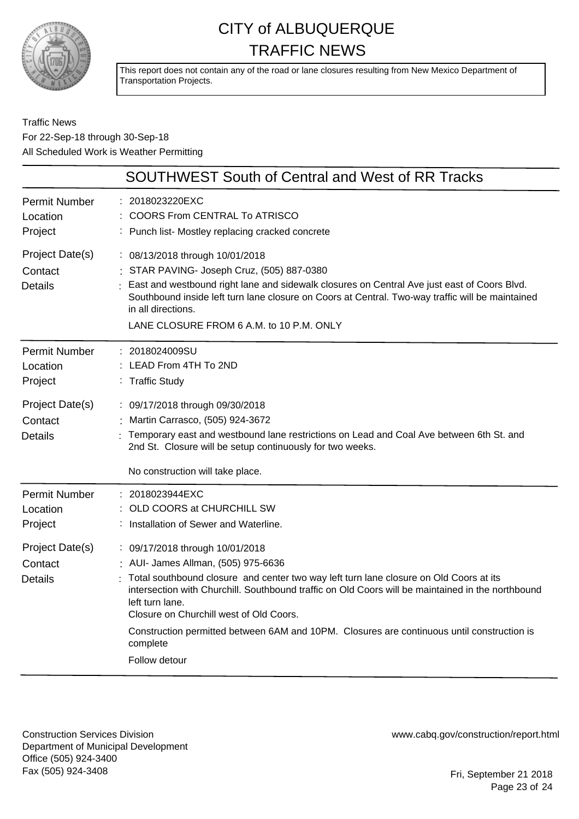

This report does not contain any of the road or lane closures resulting from New Mexico Department of Transportation Projects.

#### Traffic News For 22-Sep-18 through 30-Sep-18 All Scheduled Work is Weather Permitting

|                                              | <b>SOUTHWEST South of Central and West of RR Tracks</b>                                                                                                                                                                                                                                                                                                                                                                                                        |
|----------------------------------------------|----------------------------------------------------------------------------------------------------------------------------------------------------------------------------------------------------------------------------------------------------------------------------------------------------------------------------------------------------------------------------------------------------------------------------------------------------------------|
| <b>Permit Number</b><br>Location<br>Project  | 2018023220EXC<br><b>COORS From CENTRAL To ATRISCO</b><br>Punch list- Mostley replacing cracked concrete                                                                                                                                                                                                                                                                                                                                                        |
| Project Date(s)<br>Contact<br><b>Details</b> | : 08/13/2018 through 10/01/2018<br>STAR PAVING- Joseph Cruz, (505) 887-0380<br>East and westbound right lane and sidewalk closures on Central Ave just east of Coors Blvd.<br>Southbound inside left turn lane closure on Coors at Central. Two-way traffic will be maintained<br>in all directions.<br>LANE CLOSURE FROM 6 A.M. to 10 P.M. ONLY                                                                                                               |
| <b>Permit Number</b><br>Location<br>Project  | : 2018024009SU<br>LEAD From 4TH To 2ND<br>: Traffic Study                                                                                                                                                                                                                                                                                                                                                                                                      |
| Project Date(s)<br>Contact<br><b>Details</b> | : 09/17/2018 through 09/30/2018<br>: Martin Carrasco, (505) 924-3672<br>Temporary east and westbound lane restrictions on Lead and Coal Ave between 6th St. and<br>2nd St. Closure will be setup continuously for two weeks.<br>No construction will take place.                                                                                                                                                                                               |
| <b>Permit Number</b><br>Location<br>Project  | 2018023944EXC<br>OLD COORS at CHURCHILL SW<br>Installation of Sewer and Waterline.                                                                                                                                                                                                                                                                                                                                                                             |
| Project Date(s)<br>Contact<br><b>Details</b> | : 09/17/2018 through 10/01/2018<br>: AUI- James Allman, (505) 975-6636<br>Total southbound closure and center two way left turn lane closure on Old Coors at its<br>intersection with Churchill. Southbound traffic on Old Coors will be maintained in the northbound<br>left turn lane.<br>Closure on Churchill west of Old Coors.<br>Construction permitted between 6AM and 10PM. Closures are continuous until construction is<br>complete<br>Follow detour |
|                                              |                                                                                                                                                                                                                                                                                                                                                                                                                                                                |